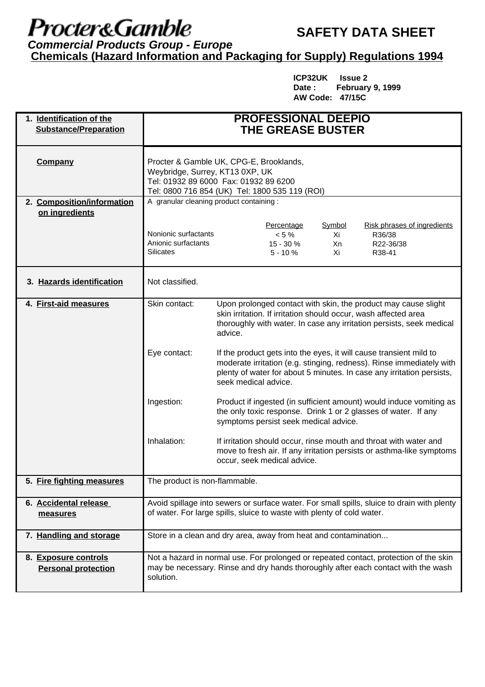## Procter&Gamble

## **SAFETY DATA SHEET**

**Commercial Products Group - Europe Chemicals (Hazard Information and Packaging for Supply) Regulations 1994**

> **ICP32UK Issue 2 Date : February 9, 1999 AW Code: 47/15C**

| 1. Identification of the<br><b>Substance/Preparation</b> | <b>PROFESSIONAL DEEPIO</b><br><b>THE GREASE BUSTER</b>                                                                                                                                                                                                      |                                                                                                                                                                                                                      |                                                   |                          |                                                                                                                                            |
|----------------------------------------------------------|-------------------------------------------------------------------------------------------------------------------------------------------------------------------------------------------------------------------------------------------------------------|----------------------------------------------------------------------------------------------------------------------------------------------------------------------------------------------------------------------|---------------------------------------------------|--------------------------|--------------------------------------------------------------------------------------------------------------------------------------------|
| <b>Company</b>                                           | Procter & Gamble UK, CPG-E, Brooklands,<br>Weybridge, Surrey, KT13 0XP, UK<br>Tel: 01932 89 6000 Fax: 01932 89 6200<br>Tel: 0800 716 854 (UK) Tel: 1800 535 119 (ROI)                                                                                       |                                                                                                                                                                                                                      |                                                   |                          |                                                                                                                                            |
| 2. Composition/information                               | A granular cleaning product containing :                                                                                                                                                                                                                    |                                                                                                                                                                                                                      |                                                   |                          |                                                                                                                                            |
| on ingredients                                           |                                                                                                                                                                                                                                                             |                                                                                                                                                                                                                      |                                                   |                          |                                                                                                                                            |
|                                                          | Nonionic surfactants<br>Anionic surfactants<br>Silicates                                                                                                                                                                                                    |                                                                                                                                                                                                                      | Percentage<br>$< 5 \%$<br>$15 - 30%$<br>$5 - 10%$ | Symbol<br>Xi<br>Xn<br>Χi | Risk phrases of ingredients<br>R36/38<br>R22-36/38<br>R38-41                                                                               |
| 3. Hazards identification                                | Not classified.                                                                                                                                                                                                                                             |                                                                                                                                                                                                                      |                                                   |                          |                                                                                                                                            |
| 4. First-aid measures                                    | Skin contact:                                                                                                                                                                                                                                               | Upon prolonged contact with skin, the product may cause slight<br>skin irritation. If irritation should occur, wash affected area<br>thoroughly with water. In case any irritation persists, seek medical<br>advice. |                                                   |                          |                                                                                                                                            |
|                                                          | Eye contact:<br>If the product gets into the eyes, it will cause transient mild to<br>moderate irritation (e.g. stinging, redness). Rinse immediately with<br>plenty of water for about 5 minutes. In case any irritation persists,<br>seek medical advice. |                                                                                                                                                                                                                      |                                                   |                          |                                                                                                                                            |
|                                                          | Ingestion:                                                                                                                                                                                                                                                  | Product if ingested (in sufficient amount) would induce vomiting as<br>the only toxic response. Drink 1 or 2 glasses of water. If any<br>symptoms persist seek medical advice.                                       |                                                   |                          |                                                                                                                                            |
|                                                          | Inhalation:                                                                                                                                                                                                                                                 |                                                                                                                                                                                                                      | occur, seek medical advice.                       |                          | If irritation should occur, rinse mouth and throat with water and<br>move to fresh air. If any irritation persists or asthma-like symptoms |
| 5. Fire fighting measures                                | The product is non-flammable.                                                                                                                                                                                                                               |                                                                                                                                                                                                                      |                                                   |                          |                                                                                                                                            |
| 6. Accidental release<br>measures                        | Avoid spillage into sewers or surface water. For small spills, sluice to drain with plenty<br>of water. For large spills, sluice to waste with plenty of cold water.                                                                                        |                                                                                                                                                                                                                      |                                                   |                          |                                                                                                                                            |
| 7. Handling and storage                                  | Store in a clean and dry area, away from heat and contamination                                                                                                                                                                                             |                                                                                                                                                                                                                      |                                                   |                          |                                                                                                                                            |
| 8. Exposure controls<br><b>Personal protection</b>       | Not a hazard in normal use. For prolonged or repeated contact, protection of the skin<br>may be necessary. Rinse and dry hands thoroughly after each contact with the wash<br>solution.                                                                     |                                                                                                                                                                                                                      |                                                   |                          |                                                                                                                                            |